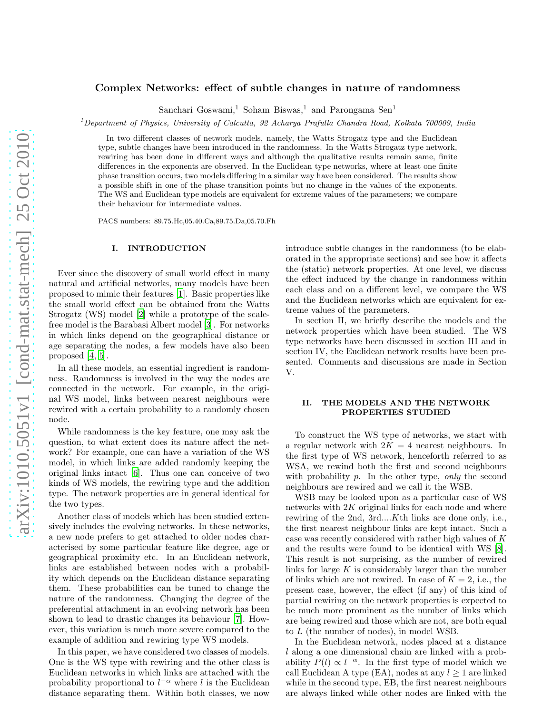# Complex Networks: effect of subtle changes in nature of randomness

Sanchari Goswami,<sup>1</sup> Soham Biswas,<sup>1</sup> and Parongama Sen<sup>1</sup>

 $1$ Department of Physics, University of Calcutta, 92 Acharya Prafulla Chandra Road, Kolkata 700009, India

In two different classes of network models, namely, the Watts Strogatz type and the Euclidean type, subtle changes have been introduced in the randomness. In the Watts Strogatz type network, rewiring has been done in different ways and although the qualitative results remain same, finite differences in the exponents are observed. In the Euclidean type networks, where at least one finite phase transition occurs, two models differing in a similar way have been considered. The results show a possible shift in one of the phase transition points but no change in the values of the exponents. The WS and Euclidean type models are equivalent for extreme values of the parameters; we compare their behaviour for intermediate values.

PACS numbers: 89.75.Hc,05.40.Ca,89.75.Da,05.70.Fh

## I. INTRODUCTION

Ever since the discovery of small world effect in many natural and artificial networks, many models have been proposed to mimic their features [\[1\]](#page-5-0). Basic properties like the small world effect can be obtained from the Watts Strogatz (WS) model [\[2\]](#page-5-1) while a prototype of the scalefree model is the Barabasi Albert model [\[3\]](#page-5-2). For networks in which links depend on the geographical distance or age separating the nodes, a few models have also been proposed [\[4](#page-5-3), [5](#page-5-4)].

In all these models, an essential ingredient is randomness. Randomness is involved in the way the nodes are connected in the network. For example, in the original WS model, links between nearest neighbours were rewired with a certain probability to a randomly chosen node.

While randomness is the key feature, one may ask the question, to what extent does its nature affect the network? For example, one can have a variation of the WS model, in which links are added randomly keeping the original links intact [\[6\]](#page-5-5). Thus one can conceive of two kinds of WS models, the rewiring type and the addition type. The network properties are in general identical for the two types.

Another class of models which has been studied extensively includes the evolving networks. In these networks, a new node prefers to get attached to older nodes characterised by some particular feature like degree, age or geographical proximity etc. In an Euclidean network, links are established between nodes with a probability which depends on the Euclidean distance separating them. These probabilities can be tuned to change the nature of the randomness. Changing the degree of the preferential attachment in an evolving network has been shown to lead to drastic changes its behaviour [\[7\]](#page-5-6). However, this variation is much more severe compared to the example of addition and rewiring type WS models.

In this paper, we have considered two classes of models. One is the WS type with rewiring and the other class is Euclidean networks in which links are attached with the probability proportional to  $l^{-\alpha}$  where l is the Euclidean distance separating them. Within both classes, we now

introduce subtle changes in the randomness (to be elaborated in the appropriate sections) and see how it affects the (static) network properties. At one level, we discuss the effect induced by the change in randomness within each class and on a different level, we compare the WS and the Euclidean networks which are equivalent for extreme values of the parameters.

In section II, we briefly describe the models and the network properties which have been studied. The WS type networks have been discussed in section III and in section IV, the Euclidean network results have been presented. Comments and discussions are made in Section V.

### II. THE MODELS AND THE NETWORK PROPERTIES STUDIED

To construct the WS type of networks, we start with a regular network with  $2K = 4$  nearest neighbours. In the first type of WS network, henceforth referred to as WSA, we rewind both the first and second neighbours with probability  $p$ . In the other type, only the second neighbours are rewired and we call it the WSB.

WSB may be looked upon as a particular case of WS networks with  $2K$  original links for each node and where rewiring of the 2nd, 3rd....Kth links are done only, i.e., the first nearest neighbour links are kept intact. Such a case was recently considered with rather high values of K and the results were found to be identical with WS [\[8\]](#page-5-7). This result is not surprising, as the number of rewired links for large  $K$  is considerably larger than the number of links which are not rewired. In case of  $K = 2$ , i.e., the present case, however, the effect (if any) of this kind of partial rewiring on the network properties is expected to be much more prominent as the number of links which are being rewired and those which are not, are both equal to L (the number of nodes), in model WSB.

In the Euclidean network, nodes placed at a distance l along a one dimensional chain are linked with a probability  $P(l) \propto l^{-\alpha}$ . In the first type of model which we call Euclidean A type (EA), nodes at any  $l \geq 1$  are linked while in the second type, EB, the first nearest neighbours are always linked while other nodes are linked with the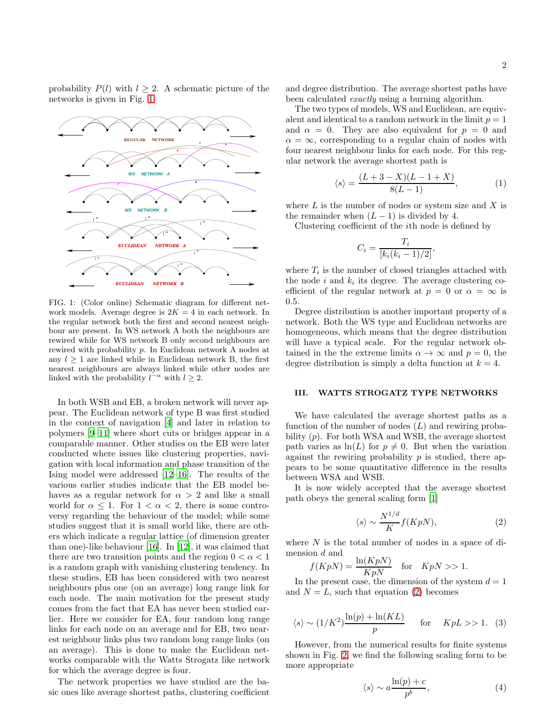probability  $P(l)$  with  $l \geq 2$ . A schematic picture of the networks is given in Fig. [1.](#page-1-0)



<span id="page-1-0"></span>FIG. 1: (Color online) Schematic diagram for different network models. Average degree is  $2K = 4$  in each network. In the regular network both the first and second nearest neighbour are present. In WS network A both the neighbours are rewired while for WS network B only second neighbours are rewired with probability p. In Euclidean network A nodes at any  $l > 1$  are linked while in Euclidean network B, the first nearest neighbours are always linked while other nodes are linked with the probability  $l^{-\alpha}$  with  $l \geq 2$ .

In both WSB and EB, a broken network will never appear. The Euclidean network of type B was first studied in the context of navigation [\[4\]](#page-5-3) and later in relation to polymers [\[9](#page-5-8)[–11\]](#page-5-9) where short cuts or bridges appear in a comparable manner. Other studies on the EB were later conducted where issues like clustering properties, navigation with local information and phase transition of the Ising model were addressed [\[12](#page-5-10)[–16](#page-5-11)]. The results of the various earlier studies indicate that the EB model behaves as a regular network for  $\alpha > 2$  and like a small world for  $\alpha \leq 1$ . For  $1 < \alpha < 2$ , there is some controversy regarding the behaviour of the model; while some studies suggest that it is small world like, there are others which indicate a regular lattice (of dimension greater than one)-like behaviour [\[16\]](#page-5-11). In [\[12\]](#page-5-10), it was claimed that there are two transition points and the region  $0 < \alpha < 1$ is a random graph with vanishing clustering tendency. In these studies, EB has been considered with two nearest neighbours plus one (on an average) long range link for each node. The main motivation for the present study comes from the fact that EA has never been studied earlier. Here we consider for EA, four random long range links for each node on an average and for EB, two nearest neighbour links plus two random long range links (on an average). This is done to make the Euclidean networks comparable with the Watts Strogatz like network for which the average degree is four.

The network properties we have studied are the basic ones like average shortest paths, clustering coefficient

and degree distribution. The average shortest paths have been calculated exactly using a burning algorithm.

The two types of models, WS and Euclidean, are equivalent and identical to a random network in the limit  $p = 1$ and  $\alpha = 0$ . They are also equivalent for  $p = 0$  and  $\alpha = \infty$ , corresponding to a regular chain of nodes with four nearest neighbour links for each node. For this regular network the average shortest path is

<span id="page-1-2"></span>
$$
\langle s \rangle = \frac{(L+3-X)(L-1+X)}{8(L-1)},
$$
\n(1)

where  $L$  is the number of nodes or system size and  $X$  is the remainder when  $(L-1)$  is divided by 4.

Clustering coefficient of the ith node is defined by

$$
C_i = \frac{T_i}{[k_i(k_i-1)/2]},
$$

where  $T_i$  is the number of closed triangles attached with the node  $i$  and  $k_i$  its degree. The average clustering coefficient of the regular network at  $p = 0$  or  $\alpha = \infty$  is 0.5.

Degree distribution is another important property of a network. Both the WS type and Euclidean networks are homogeneous, which means that the degree distribution will have a typical scale. For the regular network obtained in the the extreme limits  $\alpha \to \infty$  and  $p = 0$ , the degree distribution is simply a delta function at  $k = 4$ .

#### III. WATTS STROGATZ TYPE NETWORKS

We have calculated the average shortest paths as a function of the number of nodes  $(L)$  and rewiring probability  $(p)$ . For both WSA and WSB, the average shortest path varies as  $\ln(L)$  for  $p \neq 0$ . But when the variation against the rewiring probability  $p$  is studied, there appears to be some quantitative difference in the results between WSA and WSB.

It is now widely accepted that the average shortest path obeys the general scaling form [\[1\]](#page-5-0)

<span id="page-1-1"></span>
$$
\langle s \rangle \sim \frac{N^{1/d}}{K} f(KpN),\tag{2}
$$

where  $N$  is the total number of nodes in a space of dimension d and

$$
f(KpN) = \frac{\ln(KpN)}{KpN} \quad \text{for} \quad KpN >> 1.
$$

In the present case, the dimension of the system  $d = 1$ and  $N = L$ , such that equation [\(2\)](#page-1-1) becomes

$$
\langle s \rangle \sim (1/K^2) \frac{\ln(p) + \ln(KL)}{p}
$$
 for  $KpL >> 1$ . (3)

However, from the numerical results for finite systems shown in Fig. [2,](#page-2-0) we find the following scaling form to be more appropriate

$$
\langle s \rangle \sim a \frac{\ln(p) + c}{p^b},\tag{4}
$$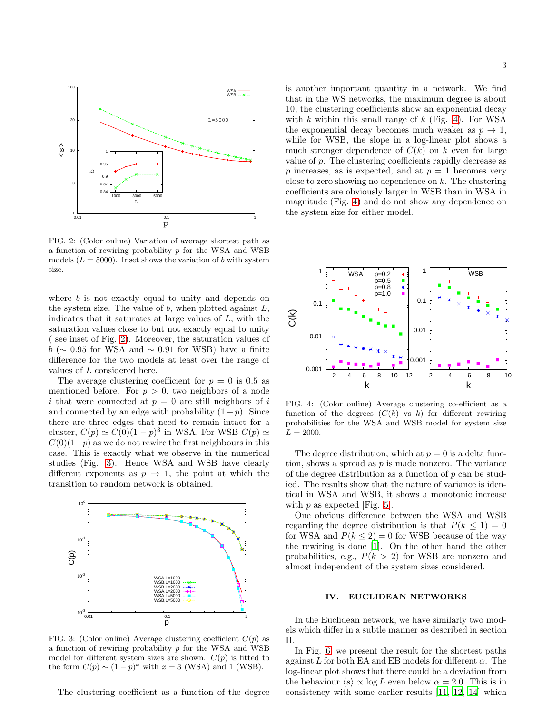

<span id="page-2-0"></span>FIG. 2: (Color online) Variation of average shortest path as a function of rewiring probability  $p$  for the WSA and WSB models  $(L = 5000)$ . Inset shows the variation of b with system size.

where  $b$  is not exactly equal to unity and depends on the system size. The value of  $b$ , when plotted against  $L$ , indicates that it saturates at large values of L, with the saturation values close to but not exactly equal to unity ( see inset of Fig. [2\)](#page-2-0). Moreover, the saturation values of  $b$  (∼ 0.95 for WSA and ∼ 0.91 for WSB) have a finite difference for the two models at least over the range of values of L considered here.

The average clustering coefficient for  $p = 0$  is 0.5 as mentioned before. For  $p > 0$ , two neighbors of a node i that were connected at  $p = 0$  are still neighbors of i and connected by an edge with probability  $(1-p)$ . Since there are three edges that need to remain intact for a cluster,  $C(p) \simeq C(0)(1-p)^3$  in WSA. For WSB  $C(p) \simeq$  $C(0)(1-p)$  as we do not rewire the first neighbours in this case. This is exactly what we observe in the numerical studies (Fig. [3\)](#page-2-1). Hence WSA and WSB have clearly different exponents as  $p \rightarrow 1$ , the point at which the transition to random network is obtained.



<span id="page-2-1"></span>FIG. 3: (Color online) Average clustering coefficient  $C(p)$  as a function of rewiring probability p for the WSA and WSB model for different system sizes are shown.  $C(p)$  is fitted to the form  $C(p) \sim (1-p)^x$  with  $x = 3$  (WSA) and 1 (WSB).

The clustering coefficient as a function of the degree

is another important quantity in a network. We find that in the WS networks, the maximum degree is about 10, the clustering coefficients show an exponential decay with  $k$  within this small range of  $k$  (Fig. [4\)](#page-2-2). For WSA the exponential decay becomes much weaker as  $p \to 1$ , while for WSB, the slope in a log-linear plot shows a much stronger dependence of  $C(k)$  on k even for large value of p. The clustering coefficients rapidly decrease as p increases, as is expected, and at  $p = 1$  becomes very close to zero showing no dependence on  $k$ . The clustering coefficients are obviously larger in WSB than in WSA in magnitude (Fig. [4\)](#page-2-2) and do not show any dependence on the system size for either model.



<span id="page-2-2"></span>FIG. 4: (Color online) Average clustering co-efficient as a function of the degrees  $(C(k)$  vs k) for different rewiring probabilities for the WSA and WSB model for system size  $L = 2000.$ 

The degree distribution, which at  $p = 0$  is a delta function, shows a spread as  $p$  is made nonzero. The variance of the degree distribution as a function of  $p$  can be studied. The results show that the nature of variance is identical in WSA and WSB, it shows a monotonic increase with  $p$  as expected [Fig. [5\]](#page-3-0).

One obvious difference between the WSA and WSB regarding the degree distribution is that  $P(k \leq 1) = 0$ for WSA and  $P(k \leq 2) = 0$  for WSB because of the way the rewiring is done [\[1\]](#page-5-0). On the other hand the other probabilities, e.g.,  $P(k > 2)$  for WSB are nonzero and almost independent of the system sizes considered.

## IV. EUCLIDEAN NETWORKS

In the Euclidean network, we have similarly two models which differ in a subtle manner as described in section II.

In Fig. [6,](#page-3-1) we present the result for the shortest paths against L for both EA and EB models for different  $\alpha$ . The log-linear plot shows that there could be a deviation from the behaviour  $\langle s \rangle \propto \log L$  even below  $\alpha = 2.0$ . This is in consistency with some earlier results [\[11](#page-5-9), [12](#page-5-10), [14](#page-5-12)] which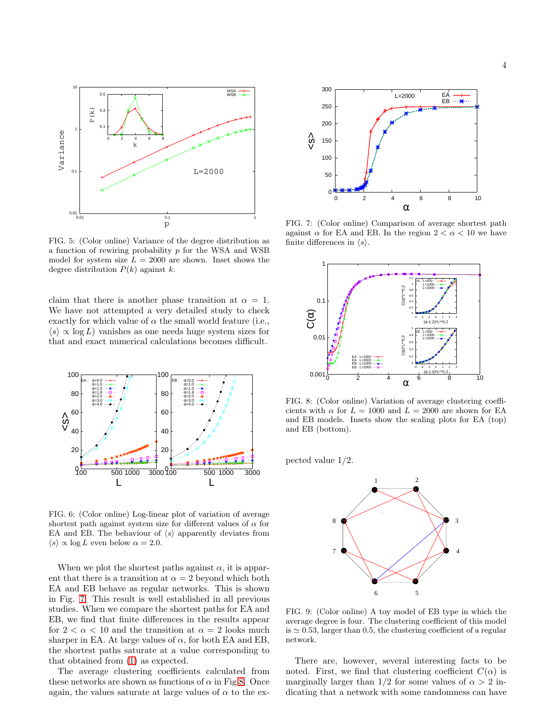

<span id="page-3-0"></span>FIG. 5: (Color online) Variance of the degree distribution as a function of rewiring probability p for the WSA and WSB model for system size  $L = 2000$  are shown. Inset shows the degree distribution  $P(k)$  against k.

claim that there is another phase transition at  $\alpha = 1$ . We have not attempted a very detailed study to check exactly for which value of  $\alpha$  the small world feature (i.e.,  $\langle s \rangle \propto \log L$ ) vanishes as one needs huge system sizes for that and exact numerical calculations becomes difficult.



<span id="page-3-1"></span>FIG. 6: (Color online) Log-linear plot of variation of average shortest path against system size for different values of  $\alpha$  for EA and EB. The behaviour of  $\langle s \rangle$  apparently deviates from  $\langle s \rangle \propto \log L$  even below  $\alpha = 2.0$ .

When we plot the shortest paths against  $\alpha$ , it is apparent that there is a transition at  $\alpha = 2$  beyond which both EA and EB behave as regular networks. This is shown in Fig. [7.](#page-3-2) This result is well established in all previous studies. When we compare the shortest paths for EA and EB, we find that finite differences in the results appear for  $2 < \alpha < 10$  and the transition at  $\alpha = 2$  looks much sharper in EA. At large values of  $\alpha$ , for both EA and EB, the shortest paths saturate at a value corresponding to that obtained from [\(1\)](#page-1-2) as expected.

The average clustering coefficients calculated from these networks are shown as functions of  $\alpha$  in Fig [8.](#page-3-3) Once again, the values saturate at large values of  $\alpha$  to the ex-



<span id="page-3-2"></span>FIG. 7: (Color online) Comparison of average shortest path against  $\alpha$  for EA and EB. In the region  $2 < \alpha < 10$  we have finite differences in  $\langle s \rangle$ .



<span id="page-3-3"></span>FIG. 8: (Color online) Variation of average clustering coefficients with  $\alpha$  for  $L = 1000$  and  $L = 2000$  are shown for EA and EB models. Insets show the scaling plots for EA (top) and EB (bottom).

pected value 1/2.



<span id="page-3-4"></span>FIG. 9: (Color online) A toy model of EB type in which the average degree is four. The clustering coefficient of this model is  $\simeq$  0.53, larger than 0.5, the clustering coefficient of a regular network.

There are, however, several interesting facts to be noted. First, we find that clustering coefficient  $C(\alpha)$  is marginally larger than  $1/2$  for some values of  $\alpha > 2$  indicating that a network with some randomness can have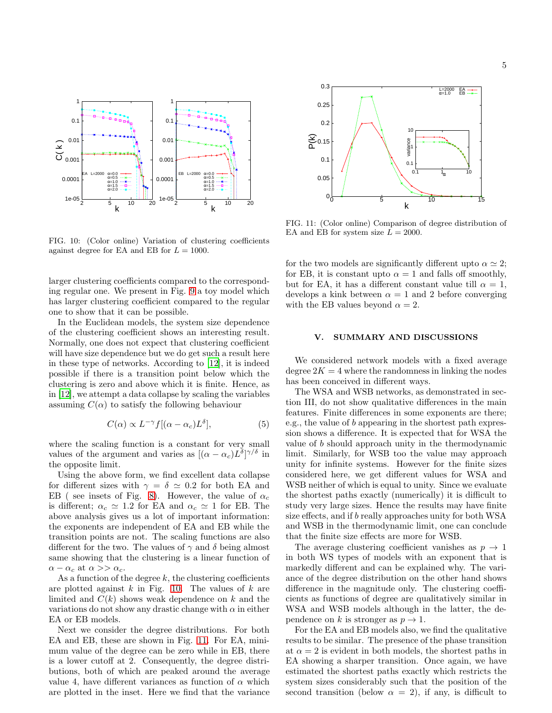

<span id="page-4-0"></span>FIG. 10: (Color online) Variation of clustering coefficients against degree for EA and EB for  $L = 1000$ .

larger clustering coefficients compared to the corresponding regular one. We present in Fig. [9](#page-3-4) a toy model which has larger clustering coefficient compared to the regular one to show that it can be possible.

In the Euclidean models, the system size dependence of the clustering coefficient shows an interesting result. Normally, one does not expect that clustering coefficient will have size dependence but we do get such a result here in these type of networks. According to [\[12](#page-5-10)], it is indeed possible if there is a transition point below which the clustering is zero and above which it is finite. Hence, as in [\[12](#page-5-10)], we attempt a data collapse by scaling the variables assuming  $C(\alpha)$  to satisfy the following behaviour

$$
C(\alpha) \propto L^{-\gamma} f[(\alpha - \alpha_c)L^{\delta}], \qquad (5)
$$

where the scaling function is a constant for very small values of the argument and varies as  $[(\alpha - \alpha_c)L^{\delta}]^{\gamma/\delta}$  in the opposite limit.

Using the above form, we find excellent data collapse for different sizes with  $\gamma = \delta \simeq 0.2$  for both EA and EB ( see insets of Fig. [8\)](#page-3-3). However, the value of  $\alpha_c$ is different;  $\alpha_c \simeq 1.2$  for EA and  $\alpha_c \simeq 1$  for EB. The above analysis gives us a lot of important information: the exponents are independent of EA and EB while the transition points are not. The scaling functions are also different for the two. The values of  $\gamma$  and  $\delta$  being almost same showing that the clustering is a linear function of  $\alpha - \alpha_c$  at  $\alpha >> \alpha_c$ .

As a function of the degree  $k$ , the clustering coefficients are plotted against  $k$  in Fig. [10.](#page-4-0) The values of  $k$  are limited and  $C(k)$  shows weak dependence on k and the variations do not show any drastic change with  $\alpha$  in either EA or EB models.

Next we consider the degree distributions. For both EA and EB, these are shown in Fig. [11.](#page-4-1) For EA, minimum value of the degree can be zero while in EB, there is a lower cutoff at 2. Consequently, the degree distributions, both of which are peaked around the average value 4, have different variances as function of  $\alpha$  which are plotted in the inset. Here we find that the variance



<span id="page-4-1"></span>FIG. 11: (Color online) Comparison of degree distribution of EA and EB for system size  $L = 2000$ .

for the two models are significantly different upto  $\alpha \simeq 2$ ; for EB, it is constant upto  $\alpha = 1$  and falls off smoothly, but for EA, it has a different constant value till  $\alpha = 1$ , develops a kink between  $\alpha = 1$  and 2 before converging with the EB values beyond  $\alpha = 2$ .

### V. SUMMARY AND DISCUSSIONS

We considered network models with a fixed average degree  $2K = 4$  where the randomness in linking the nodes has been conceived in different ways.

The WSA and WSB networks, as demonstrated in section III, do not show qualitative differences in the main features. Finite differences in some exponents are there; e.g., the value of b appearing in the shortest path expression shows a difference. It is expected that for WSA the value of b should approach unity in the thermodynamic limit. Similarly, for WSB too the value may approach unity for infinite systems. However for the finite sizes considered here, we get different values for WSA and WSB neither of which is equal to unity. Since we evaluate the shortest paths exactly (numerically) it is difficult to study very large sizes. Hence the results may have finite size effects, and if b really approaches unity for both WSA and WSB in the thermodynamic limit, one can conclude that the finite size effects are more for WSB.

The average clustering coefficient vanishes as  $p \to 1$ in both WS types of models with an exponent that is markedly different and can be explained why. The variance of the degree distribution on the other hand shows difference in the magnitude only. The clustering coefficients as functions of degree are qualitatively similar in WSA and WSB models although in the latter, the dependence on k is stronger as  $p \to 1$ .

For the EA and EB models also, we find the qualitative results to be similar. The presence of the phase transition at  $\alpha = 2$  is evident in both models, the shortest paths in EA showing a sharper transition. Once again, we have estimated the shortest paths exactly which restricts the system sizes considerably such that the position of the second transition (below  $\alpha = 2$ ), if any, is difficult to